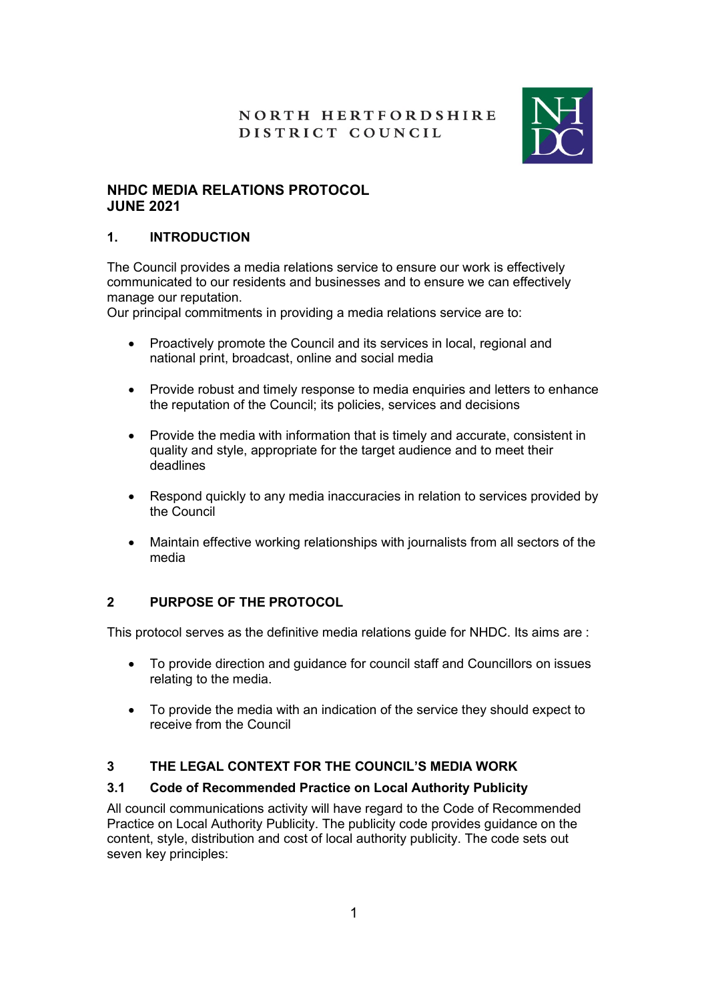# NORTH HERTFORDSHIRE DISTRICT COUNCIL



### **NHDC MEDIA RELATIONS PROTOCOL JUNE 2021**

### **1. INTRODUCTION**

The Council provides a media relations service to ensure our work is effectively communicated to our residents and businesses and to ensure we can effectively manage our reputation.

Our principal commitments in providing a media relations service are to:

- Proactively promote the Council and its services in local, regional and national print, broadcast, online and social media
- Provide robust and timely response to media enquiries and letters to enhance the reputation of the Council; its policies, services and decisions
- Provide the media with information that is timely and accurate, consistent in quality and style, appropriate for the target audience and to meet their deadlines
- Respond quickly to any media inaccuracies in relation to services provided by the Council
- Maintain effective working relationships with journalists from all sectors of the media

### **2 PURPOSE OF THE PROTOCOL**

This protocol serves as the definitive media relations guide for NHDC. Its aims are :

- To provide direction and guidance for council staff and Councillors on issues relating to the media.
- To provide the media with an indication of the service they should expect to receive from the Council

### **3 THE LEGAL CONTEXT FOR THE COUNCIL'S MEDIA WORK**

#### **3.1 Code of Recommended Practice on Local Authority Publicity**

All council communications activity will have regard to the Code of Recommended Practice on Local Authority Publicity. The publicity code provides guidance on the content, style, distribution and cost of local authority publicity. The code sets out seven key principles: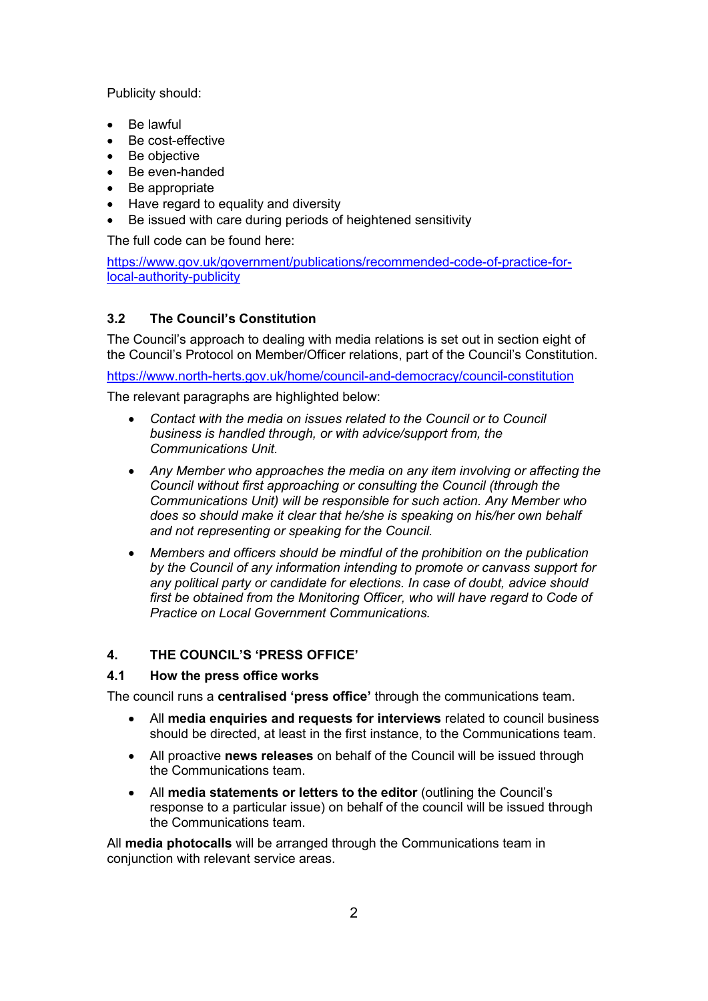Publicity should:

- Be lawful
- Be cost-effective
- Be objective
- Be even-handed
- Be appropriate
- Have regard to equality and diversity
- Be issued with care during periods of heightened sensitivity

The full code can be found here:

[https://www.gov.uk/government/publications/recommended-code-of-practice-for](https://www.gov.uk/government/publications/recommended-code-of-practice-for-local-authority-publicity)[local-authority-publicity](https://www.gov.uk/government/publications/recommended-code-of-practice-for-local-authority-publicity)

#### **3.2 The Council's Constitution**

The Council's approach to dealing with media relations is set out in section eight of the Council's Protocol on Member/Officer relations, part of the Council's Constitution.

<https://www.north-herts.gov.uk/home/council-and-democracy/council-constitution>

The relevant paragraphs are highlighted below:

- *Contact with the media on issues related to the Council or to Council business is handled through, or with advice/support from, the Communications Unit.*
- *Any Member who approaches the media on any item involving or affecting the Council without first approaching or consulting the Council (through the Communications Unit) will be responsible for such action. Any Member who does so should make it clear that he/she is speaking on his/her own behalf and not representing or speaking for the Council.*
- *Members and officers should be mindful of the prohibition on the publication by the Council of any information intending to promote or canvass support for any political party or candidate for elections. In case of doubt, advice should first be obtained from the Monitoring Officer, who will have regard to Code of Practice on Local Government Communications.*

#### **4. THE COUNCIL'S 'PRESS OFFICE'**

#### **4.1 How the press office works**

The council runs a **centralised 'press office'** through the communications team.

- All **media enquiries and requests for interviews** related to council business should be directed, at least in the first instance, to the Communications team.
- All proactive **news releases** on behalf of the Council will be issued through the Communications team.
- All **media statements or letters to the editor** (outlining the Council's response to a particular issue) on behalf of the council will be issued through the Communications team.

All **media photocalls** will be arranged through the Communications team in conjunction with relevant service areas.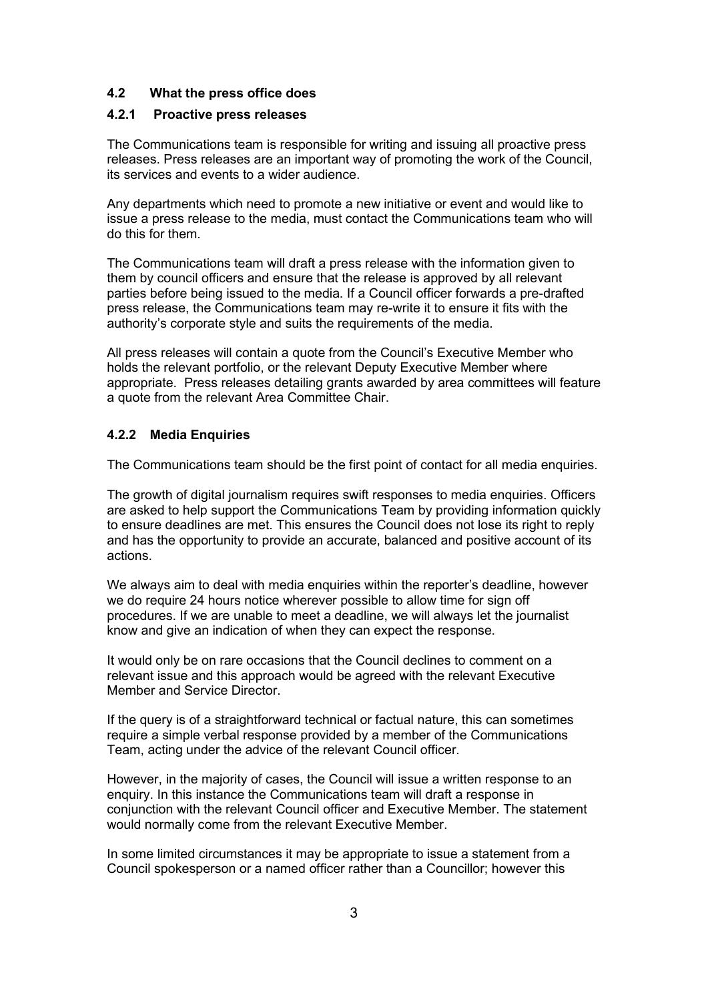#### **4.2 What the press office does**

#### **4.2.1 Proactive press releases**

The Communications team is responsible for writing and issuing all proactive press releases. Press releases are an important way of promoting the work of the Council, its services and events to a wider audience.

Any departments which need to promote a new initiative or event and would like to issue a press release to the media, must contact the Communications team who will do this for them.

The Communications team will draft a press release with the information given to them by council officers and ensure that the release is approved by all relevant parties before being issued to the media. If a Council officer forwards a pre-drafted press release, the Communications team may re-write it to ensure it fits with the authority's corporate style and suits the requirements of the media.

All press releases will contain a quote from the Council's Executive Member who holds the relevant portfolio, or the relevant Deputy Executive Member where appropriate. Press releases detailing grants awarded by area committees will feature a quote from the relevant Area Committee Chair.

#### **4.2.2 Media Enquiries**

The Communications team should be the first point of contact for all media enquiries.

The growth of digital journalism requires swift responses to media enquiries. Officers are asked to help support the Communications Team by providing information quickly to ensure deadlines are met. This ensures the Council does not lose its right to reply and has the opportunity to provide an accurate, balanced and positive account of its actions.

We always aim to deal with media enquiries within the reporter's deadline, however we do require 24 hours notice wherever possible to allow time for sign off procedures. If we are unable to meet a deadline, we will always let the journalist know and give an indication of when they can expect the response.

It would only be on rare occasions that the Council declines to comment on a relevant issue and this approach would be agreed with the relevant Executive Member and Service Director.

If the query is of a straightforward technical or factual nature, this can sometimes require a simple verbal response provided by a member of the Communications Team, acting under the advice of the relevant Council officer.

However, in the majority of cases, the Council will issue a written response to an enquiry. In this instance the Communications team will draft a response in conjunction with the relevant Council officer and Executive Member. The statement would normally come from the relevant Executive Member.

In some limited circumstances it may be appropriate to issue a statement from a Council spokesperson or a named officer rather than a Councillor; however this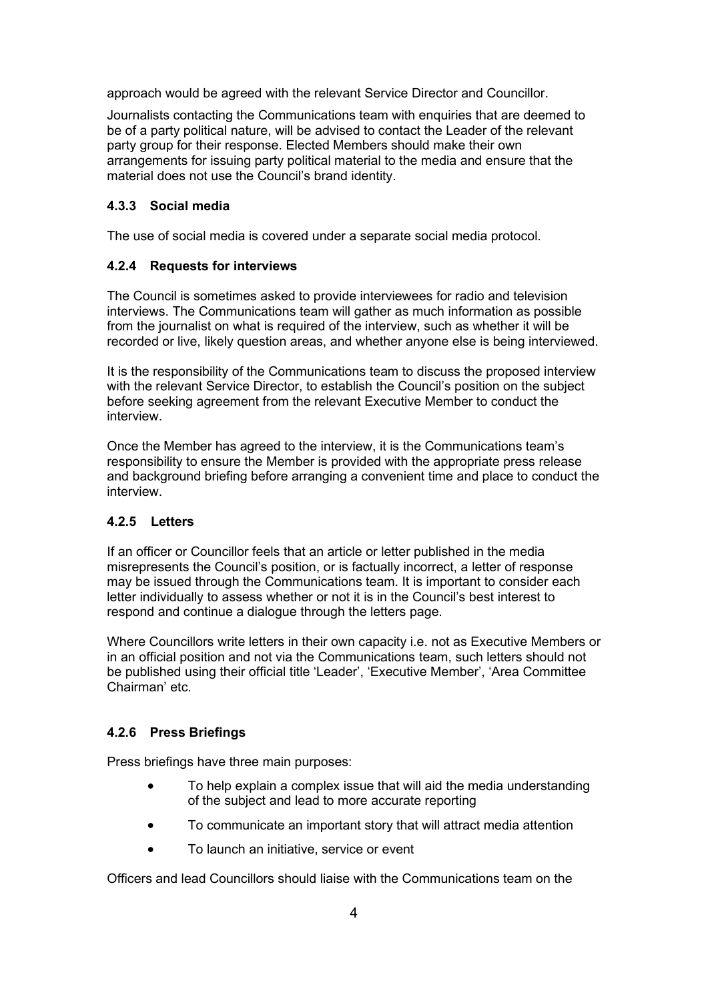approach would be agreed with the relevant Service Director and Councillor.

Journalists contacting the Communications team with enquiries that are deemed to be of a party political nature, will be advised to contact the Leader of the relevant party group for their response. Elected Members should make their own arrangements for issuing party political material to the media and ensure that the material does not use the Council's brand identity.

#### **4.3.3 Social media**

The use of social media is covered under a separate social media protocol.

#### **4.2.4 Requests for interviews**

The Council is sometimes asked to provide interviewees for radio and television interviews. The Communications team will gather as much information as possible from the journalist on what is required of the interview, such as whether it will be recorded or live, likely question areas, and whether anyone else is being interviewed.

It is the responsibility of the Communications team to discuss the proposed interview with the relevant Service Director, to establish the Council's position on the subject before seeking agreement from the relevant Executive Member to conduct the interview.

Once the Member has agreed to the interview, it is the Communications team's responsibility to ensure the Member is provided with the appropriate press release and background briefing before arranging a convenient time and place to conduct the interview.

#### **4.2.5 Letters**

If an officer or Councillor feels that an article or letter published in the media misrepresents the Council's position, or is factually incorrect, a letter of response may be issued through the Communications team. It is important to consider each letter individually to assess whether or not it is in the Council's best interest to respond and continue a dialogue through the letters page.

Where Councillors write letters in their own capacity i.e. not as Executive Members or in an official position and not via the Communications team, such letters should not be published using their official title 'Leader', 'Executive Member', 'Area Committee Chairman' etc.

### **4.2.6 Press Briefings**

Press briefings have three main purposes:

- To help explain a complex issue that will aid the media understanding of the subject and lead to more accurate reporting
- To communicate an important story that will attract media attention
- To launch an initiative, service or event

Officers and lead Councillors should liaise with the Communications team on the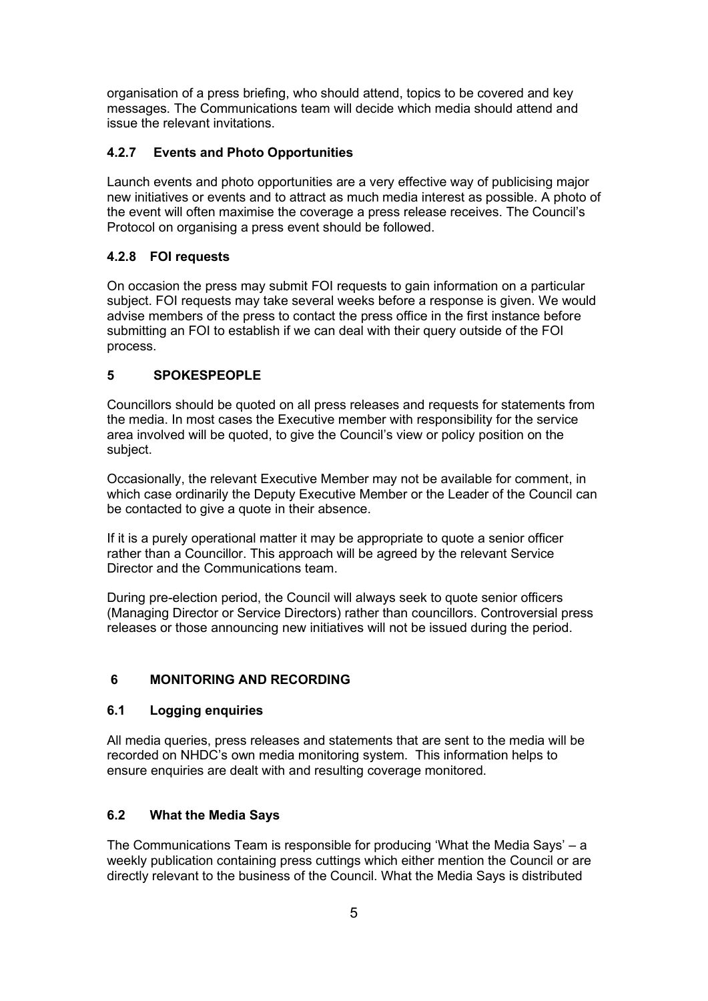organisation of a press briefing, who should attend, topics to be covered and key messages. The Communications team will decide which media should attend and issue the relevant invitations.

#### **4.2.7 Events and Photo Opportunities**

Launch events and photo opportunities are a very effective way of publicising major new initiatives or events and to attract as much media interest as possible. A photo of the event will often maximise the coverage a press release receives. The Council's Protocol on organising a press event should be followed.

#### **4.2.8 FOI requests**

On occasion the press may submit FOI requests to gain information on a particular subject. FOI requests may take several weeks before a response is given. We would advise members of the press to contact the press office in the first instance before submitting an FOI to establish if we can deal with their query outside of the FOI process.

#### **5 SPOKESPEOPLE**

Councillors should be quoted on all press releases and requests for statements from the media. In most cases the Executive member with responsibility for the service area involved will be quoted, to give the Council's view or policy position on the subject.

Occasionally, the relevant Executive Member may not be available for comment, in which case ordinarily the Deputy Executive Member or the Leader of the Council can be contacted to give a quote in their absence.

If it is a purely operational matter it may be appropriate to quote a senior officer rather than a Councillor. This approach will be agreed by the relevant Service Director and the Communications team.

During pre-election period, the Council will always seek to quote senior officers (Managing Director or Service Directors) rather than councillors. Controversial press releases or those announcing new initiatives will not be issued during the period.

### **6 MONITORING AND RECORDING**

#### **6.1 Logging enquiries**

All media queries, press releases and statements that are sent to the media will be recorded on NHDC's own media monitoring system. This information helps to ensure enquiries are dealt with and resulting coverage monitored.

#### **6.2 What the Media Says**

The Communications Team is responsible for producing 'What the Media Says' – a weekly publication containing press cuttings which either mention the Council or are directly relevant to the business of the Council. What the Media Says is distributed